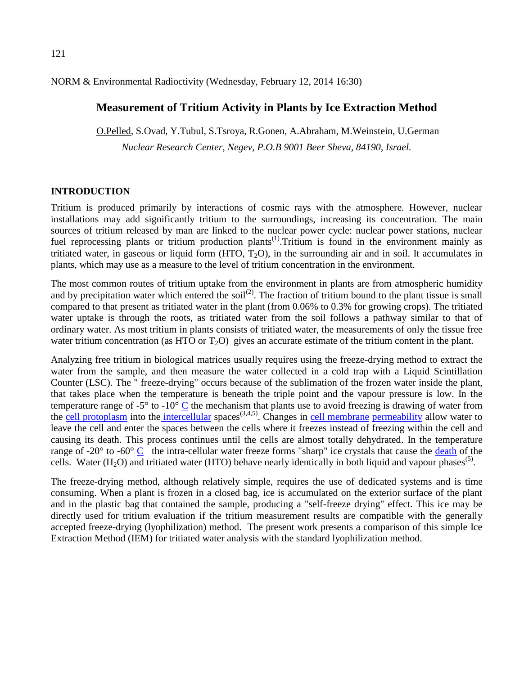### **Measurement of Tritium Activity in Plants by Ice Extraction Method**

O.Pelled, S.Ovad, Y.Tubul, S.Tsroya, R.Gonen, A.Abraham, M.Weinstein, U.German

*Nuclear Research Center, Negev, P.O.B 9001 Beer Sheva, 84190, Israel.*

#### **INTRODUCTION**

Tritium is produced primarily by interactions of cosmic rays with the atmosphere. However, nuclear installations may add significantly tritium to the surroundings, increasing its concentration. The main sources of tritium released by man are linked to the nuclear power cycle: nuclear power stations, nuclear fuel reprocessing plants or tritium production plants<sup>(1)</sup>. Tritium is found in the environment mainly as tritiated water, in gaseous or liquid form (HTO,  $T_2O$ ), in the surrounding air and in soil. It accumulates in plants, which may use as a measure to the level of tritium concentration in the environment.

The most common routes of tritium uptake from the environment in plants are from atmospheric humidity and by precipitation water which entered the soil<sup>(2)</sup>. The fraction of tritium bound to the plant tissue is small compared to that present as tritiated water in the plant (from 0.06% to 0.3% for growing crops). The tritiated water uptake is through the roots, as tritiated water from the soil follows a pathway similar to that of ordinary water. As most tritium in plants consists of tritiated water, the measurements of only the tissue free water tritium concentration (as HTO or  $T_2O$ ) gives an accurate estimate of the tritium content in the plant.

Analyzing free tritium in biological matrices usually requires using the freeze-drying method to extract the water from the sample, and then measure the water collected in a cold trap with a Liquid Scintillation Counter (LSC). The " freeze-drying" occurs because of the sublimation of the frozen water inside the plant, that takes place when the temperature is beneath the triple point and the vapour pressure is low. In the temperature range of -5 $\degree$  to -10 $\degree$  [C](http://www.cactuspedia.info/note-book/Dictionary/Dictionary_D/dictionary_degree_celsius.htm) the mechanism that plants use to avoid freezing is drawing of water from the [cell protoplasm](http://www.cactuspedia.info/note-book/Dictionary/Dictionary_P/dictionary_protoplasm.htm) into th[e intercellular](http://www.cactuspedia.info/note-book/Dictionary/Dictionary_I/dictionary_intracellular.htm) spaces<sup> $(3,4,5)$ </sup>. Changes in [cell membrane](http://www.cactuspedia.info/note-book/Dictionary/Dictionary_C/dictionary_cell_membrane.htm) [permeability](http://www.cactuspedia.info/note-book/Dictionary/Dictionary_P/dictionary_permeable.htm) allow water to leave the cell and enter the spaces between the cells where it freezes instead of freezing within the cell and causing its death. This process continues until the cells are almost totally dehydrated. In the temperature range of -20° to -60° [C](http://www.cactuspedia.info/note-book/Dictionary/Dictionary_D/dictionary_degree_celsius.htm) the intra-cellular water freeze forms "sharp" ice crystals that cause the [death](http://www.cactuspedia.info/note-book/Dictionary/Dictionary_D/dictionary_death.htm) of the cells. Water (H<sub>2</sub>O) and tritiated water (HTO) behave nearly identically in both liquid and vapour phases<sup>(5)</sup>.

The freeze-drying method, although relatively simple, requires the use of dedicated systems and is time consuming. When a plant is frozen in a closed bag, ice is accumulated on the exterior surface of the plant and in the plastic bag that contained the sample, producing a "self-freeze drying" effect. This ice may be directly used for tritium evaluation if the tritium measurement results are compatible with the generally accepted freeze-drying (lyophilization) method. The present work presents a comparison of this simple Ice Extraction Method (IEM) for tritiated water analysis with the standard lyophilization method.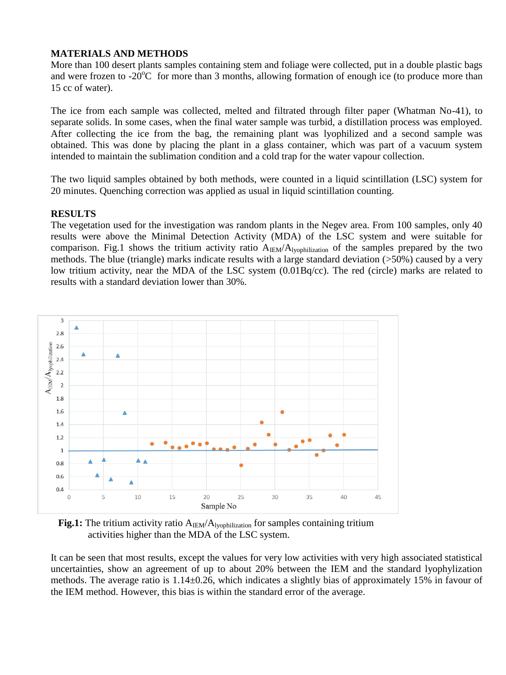## **MATERIALS AND METHODS**

More than 100 desert plants samples containing stem and foliage were collected, put in a double plastic bags and were frozen to  $-20^{\circ}$ C for more than 3 months, allowing formation of enough ice (to produce more than 15 cc of water).

The ice from each sample was collected, melted and filtrated through filter paper (Whatman No-41), to separate solids. In some cases, when the final water sample was turbid, a distillation process was employed. After collecting the ice from the bag, the remaining plant was lyophilized and a second sample was obtained. This was done by placing the plant in a glass container, which was part of a vacuum system intended to maintain the sublimation condition and a cold trap for the water vapour collection.

The two liquid samples obtained by both methods, were counted in a liquid scintillation (LSC) system for 20 minutes. Quenching correction was applied as usual in liquid scintillation counting.

### **RESULTS**

The vegetation used for the investigation was random plants in the Negev area. From 100 samples, only 40 results were above the Minimal Detection Activity (MDA) of the LSC system and were suitable for comparison. Fig.1 shows the tritium activity ratio  $A_{IEM}/A_{Ivophilization}$  of the samples prepared by the two methods. The blue (triangle) marks indicate results with a large standard deviation (>50%) caused by a very low tritium activity, near the MDA of the LSC system (0.01Bq/cc). The red (circle) marks are related to results with a standard deviation lower than 30%.



**Fig.1:** The tritium activity ratio  $A_{IEM}/A_{Ivophilization}$  for samples containing tritium activities higher than the MDA of the LSC system.

It can be seen that most results, except the values for very low activities with very high associated statistical uncertainties, show an agreement of up to about 20% between the IEM and the standard lyophylization methods. The average ratio is 1.14±0.26, which indicates a slightly bias of approximately 15% in favour of the IEM method. However, this bias is within the standard error of the average.